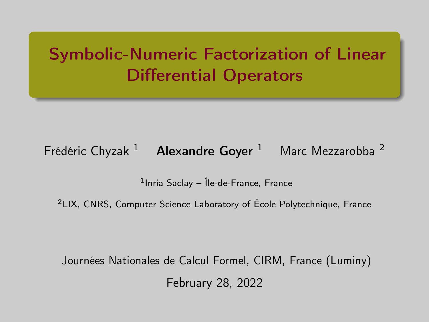# <span id="page-0-0"></span>Symbolic-Numeric Factorization of Linear Differential Operators

## Frédéric Chyzak  $1$  Alexandre Goyer  $1$  Marc Mezzarobba  $2$

1 Inria Saclay – Île-de-France, France

<sup>2</sup>LIX, CNRS, Computer Science Laboratory of École Polytechnique, France

Journées Nationales de Calcul Formel, CIRM, France (Luminy) February 28, 2022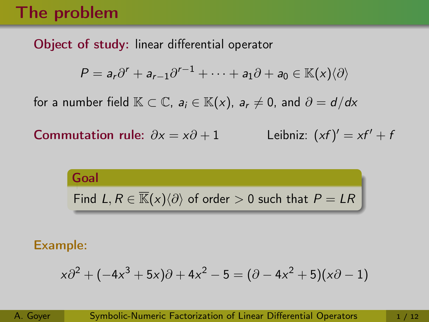# The problem

## Object of study: linear differential operator

$$
P = a_r \partial^r + a_{r-1} \partial^{r-1} + \cdots + a_1 \partial + a_0 \in \mathbb{K}(x) \langle \partial \rangle
$$

for a number field  $\mathbb{K} \subset \mathbb{C}$ ,  $a_i \in \mathbb{K}(x)$ ,  $a_r \neq 0$ , and  $\partial = d/dx$ 

Commutation rule:  $\partial x = x\partial + 1$ Leibniz:  $(xf)' = xf' + f$ 

> Goal Find  $L, R \in \overline{\mathbb{K}}(x)\langle \partial \rangle$  of order > 0 such that  $P = LR$

#### Example:

$$
x\partial^{2} + (-4x^{3} + 5x)\partial + 4x^{2} - 5 = (\partial - 4x^{2} + 5)(x\partial - 1)
$$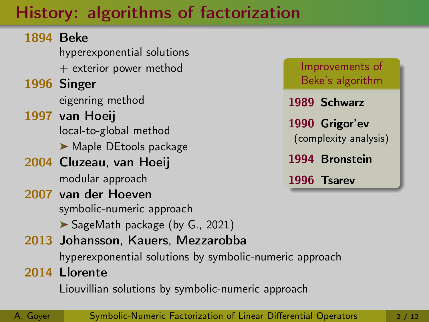# History: algorithms of factorization

## 1894 Beke hyperexponential solutions + exterior power method 1996 Singer eigenring method 1997 van Hoeij local-to-global method Maple DEtools package 2004 Cluzeau, van Hoeij modular approach 2007 van der Hoeven symbolic-numeric approach SageMath package (by G., 2021) 2013 Johansson, Kauers, Mezzarobba hyperexponential solutions by symbolic-numeric approach 2014 Llorente

Liouvillian solutions by symbolic-numeric approach



A. Goyer [Symbolic-Numeric Factorization of Linear Differential Operators](#page-0-0) 2/12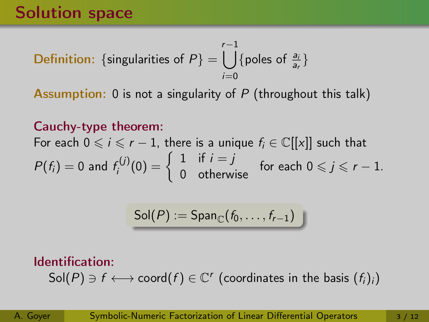**Definition:** {singularities of 
$$
P
$$
} =  $\bigcup_{i=0}^{r-1}$  {poles of  $\frac{a_i}{a_r}$ }

Assumption: 0 is not a singularity of  $P$  (throughout this talk)

## Cauchy-type theorem:

For each  $0 \le i \le r - 1$ , there is a unique  $f_i \in \mathbb{C}[[x]]$  such that  $P(f_i) = 0$  and  $f_i^{(j)}$  $\mathcal{F}_i^{(j)}(0) = \left\{ \begin{array}{ll} 1 & \text{if } i = j \\ 0 & \text{otherwise} \end{array} \right. \;\; \text{for each } 0 \leqslant j \leqslant r-1.$ 

$$
\mathsf{Sol}(P):=\mathsf{Span}_{\mathbb{C}}(f_0,\ldots,f_{r-1})
$$

## Identification:  $\mathsf{Sol}(P) \ni f \longleftrightarrow \mathsf{coord}(f) \in \mathbb{C}^r$  (coordinates in the basis  $(f_i)_i)$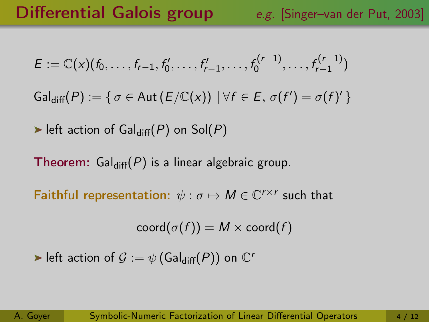$$
E := \mathbb{C}(x)(f_0, \ldots, f_{r-1}, f'_0, \ldots, f'_{r-1}, \ldots, f_0^{(r-1)}, \ldots, f_{r-1}^{(r-1)})
$$

 $\mathsf{Gal}_{\mathsf{diff}}(P) := \{ \sigma \in \mathsf{Aut}\left(E/\mathbb{C}(x)\right) \mid \forall f \in E, \, \sigma(f') = \sigma(f)'\, \}$ 

left action of Gal $_{diff}(P)$  on Sol $(P)$ 

**Theorem:** Gal<sub>diff</sub> $(P)$  is a linear algebraic group.

Faithful representation:  $\psi : \sigma \mapsto M \in \mathbb{C}^{r \times r}$  such that

 $\operatorname{coord}(\sigma(f)) = M \times \operatorname{coord}(f)$ 

left action of  $\mathcal{G} := \psi$  (Gal<sub>diff</sub>(P)) on  $\mathbb{C}^n$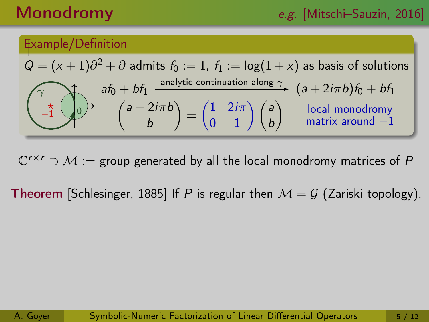# Monodromy e.g. [Mitschi–Sauzin, 2016]

#### Example/Definition

$$
Q = (x+1)\partial^2 + \partial \text{ admits } f_0 := 1, f_1 := \log(1+x) \text{ as basis of solutions}
$$
\n
$$
af_0 + bf_1 \xrightarrow{\text{analytic continuation along } \gamma} (a+2i\pi b)f_0 + bf_1
$$
\n
$$
f_1 = \frac{1}{2\pi} \left(\frac{a+2i\pi b}{b}\right) = \left(\frac{1}{2} \cdot \frac{2i\pi}{1}\right) \left(\frac{a}{b}\right) \qquad \text{local monodromy matrix around } -1
$$

 $\mathbb{C}^{r\times r}\supset\mathcal{M}:=$  group generated by all the local monodromy matrices of  $P$ 

**Theorem** [Schlesinger, 1885] If P is regular then  $\overline{M} = G$  (Zariski topology).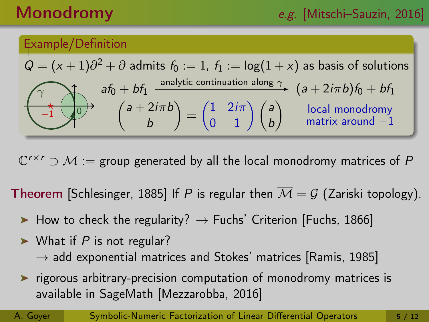# Monodromy e.g. [Mitschi–Sauzin, 2016]

### Example/Definition

$$
Q = (x+1)\partial^2 + \partial \text{ admits } f_0 := 1, f_1 := \log(1+x) \text{ as basis of solutions}
$$
\n
$$
af_0 + bf_1 \xrightarrow{\text{analytic continuation along } \gamma} (a+2i\pi b)f_0 + bf_1
$$
\n
$$
f_1 = \frac{1}{2\pi} \int_0^{\gamma} f_0 \cdot f_1 \cdot \frac{1}{2\pi} f_0 \cdot \frac{1}{2\pi} \cdot \frac{1}{2\pi} \cdot \frac{1}{2\pi} \cdot \frac{1}{2\pi} \cdot \frac{1}{2\pi} \cdot \frac{1}{2\pi} \cdot \frac{1}{2\pi} \cdot \frac{1}{2\pi} \cdot \frac{1}{2\pi} \cdot \frac{1}{2\pi} \cdot \frac{1}{2\pi} \cdot \frac{1}{2\pi} \cdot \frac{1}{2\pi} \cdot \frac{1}{2\pi} \cdot \frac{1}{2\pi} \cdot \frac{1}{2\pi} \cdot \frac{1}{2\pi} \cdot \frac{1}{2\pi} \cdot \frac{1}{2\pi} \cdot \frac{1}{2\pi} \cdot \frac{1}{2\pi} \cdot \frac{1}{2\pi} \cdot \frac{1}{2\pi} \cdot \frac{1}{2\pi} \cdot \frac{1}{2\pi} \cdot \frac{1}{2\pi} \cdot \frac{1}{2\pi} \cdot \frac{1}{2\pi} \cdot \frac{1}{2\pi} \cdot \frac{1}{2\pi} \cdot \frac{1}{2\pi} \cdot \frac{1}{2\pi} \cdot \frac{1}{2\pi} \cdot \frac{1}{2\pi} \cdot \frac{1}{2\pi} \cdot \frac{1}{2\pi} \cdot \frac{1}{2\pi} \cdot \frac{1}{2\pi} \cdot \frac{1}{2\pi} \cdot \frac{1}{2\pi} \cdot \frac{1}{2\pi} \cdot \frac{1}{2\pi} \cdot \frac{1}{2\pi} \cdot \frac{1}{2\pi} \cdot \frac{1}{2\pi} \cdot \frac{1}{2\pi} \cdot \frac{1}{2\pi} \cdot \frac{1}{2\pi} \cdot \frac{1}{2\pi} \cdot \frac{1}{2\pi} \cdot \frac{1}{2\pi} \cdot \frac{1}{2\pi} \cdot \frac{1}{2\pi} \cdot \frac{1}{2\pi} \cdot \frac{1}{2\pi} \cdot \frac{1}{2\pi} \cdot
$$

 $\mathbb{C}^{r\times r}\supset\mathcal{M}:=$  group generated by all the local monodromy matrices of  $P$ 

**Theorem** [Schlesinger, 1885] If P is regular then  $\overline{\mathcal{M}} = \mathcal{G}$  (Zariski topology).

- How to check the regularity?  $\rightarrow$  Fuchs' Criterion [Fuchs, 1866]
- $\triangleright$  What if P is not regular?  $\rightarrow$  add exponential matrices and Stokes' matrices [Ramis, 1985]
- **EX F** rigorous arbitrary-precision computation of monodromy matrices is available in SageMath [Mezzarobba, 2016]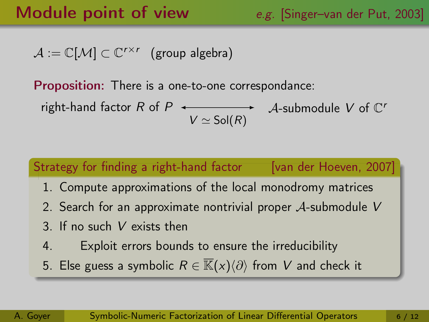# Module point of view e.g. [Singer-van der Put, 2003]

 $\mathcal{A} := \mathbb{C}[\mathcal{M}] \subset \mathbb{C}^{r \times r}$  (group algebra)

Proposition: There is a one-to-one correspondance:

 $V \simeq$  Sol $(R)$ right-hand factor R of P  $\leftarrow$  A-submodule V of C'

# Strategy for finding a right-hand factor [van der Hoeven, 2007] 1. Compute approximations of the local monodromy matrices 2. Search for an approximate nontrivial proper  $A$ -submodule V 3. If no such V exists then 4. Exploit errors bounds to ensure the irreducibility 5. Else guess a symbolic  $R \in \overline{\mathbb{K}}(x)\langle\partial\rangle$  from V and check it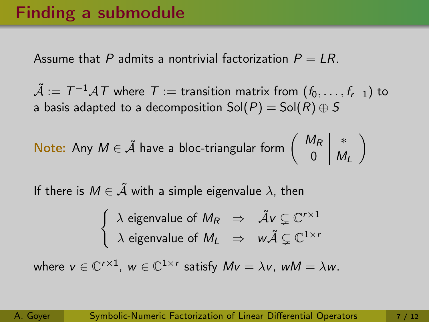# Finding a submodule

Assume that P admits a nontrivial factorization  $P = LR$ .

 $\tilde{\mathcal{A}}:=\mathcal{T}^{-1}\mathcal{A}\mathcal{T}$  where  $\mathcal{T}:=$  transition matrix from  $(f_0,\ldots,f_{r-1})$  to a basis adapted to a decomposition  $Sol(P) = Sol(R) \oplus S$ 

**Note:** Any 
$$
M \in \tilde{A}
$$
 have a block-triangular form  $\left(\begin{array}{c|c} M_R & * \\ \hline 0 & M_L \end{array}\right)$ 

If there is  $M \in \tilde{\mathcal{A}}$  with a simple eigenvalue  $\lambda$ , then

$$
\begin{cases} \lambda \text{ eigenvalue of } M_R \Rightarrow \tilde{\mathcal{A}}v \subsetneq \mathbb{C}^{r \times 1} \\ \lambda \text{ eigenvalue of } M_L \Rightarrow w\tilde{\mathcal{A}} \subsetneq \mathbb{C}^{1 \times r} \end{cases}
$$

where  $v \in \mathbb{C}^{r \times 1}$ ,  $w \in \mathbb{C}^{1 \times r}$  satisfy  $Mv = \lambda v$ ,  $wM = \lambda w$ .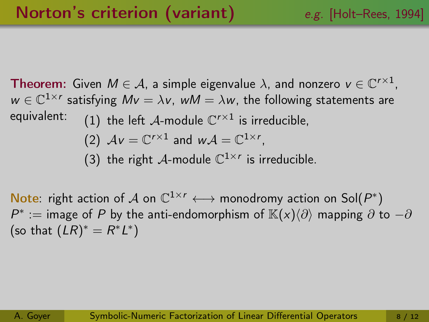**Theorem:** Given  $M \in \mathcal{A}$ , a simple eigenvalue  $\lambda$ , and nonzero  $v \in \mathbb{C}^{r \times 1}$ ,  $w \in \mathbb{C}^{1 \times r}$  satisfying  $Mv = \lambda v$ , w $M = \lambda w$ , the following statements are equivalent:  $\qquad \qquad (1)$  the left  $\mathcal A$ -module  $\mathbb C^{r\times 1}$  is irreducible, (2)  $Av = \mathbb{C}^{r \times 1}$  and  $wA = \mathbb{C}^{1 \times r}$ , (3) the right A-module  $\mathbb{C}^{1 \times r}$  is irreducible.

Note: right action of A on  $\mathbb{C}^{1 \times r} \longleftrightarrow$  monodromy action on Sol $(P^*)$  $P^* := \text{image of } P$  by the anti-endomorphism of  $\mathbb{K}(x)\langle\partial\rangle$  mapping  $\partial$  to  $-\partial$ (so that  $(LR)^* = R^*L^*$ )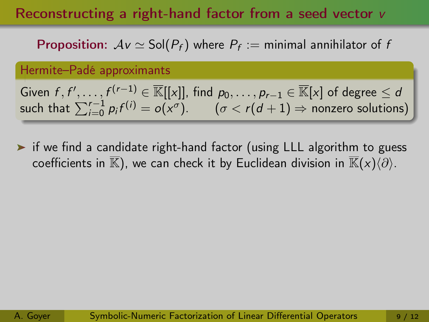## Reconstructing a right-hand factor from a seed vector v

**Proposition:**  $Av \simeq$  Sol $(P_f)$  where  $P_f :=$  minimal annihilator of *t* 

Hermite–Padé approximants

Given  $f,f',\ldots,f^{(r-1)}\in\overline{\mathbb{K}}[[x]],$  find  $p_0,\ldots,p_{r-1}\in\overline{\mathbb{K}}[x]$  of degree  $\leq d$ such that  $\sum_{i=0}^{r-1} p_i f^{(i)} = o(x^{\sigma}). \qquad (\sigma < r(d+1) \Rightarrow$  nonzero solutions)

▶ if we find a candidate right-hand factor (using LLL algorithm to guess coefficients in  $\overline{\mathbb{K}}$ ), we can check it by Euclidean division in  $\overline{\mathbb{K}}(x)\langle\partial\rangle$ .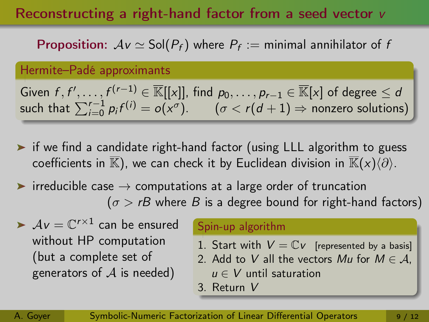## Reconstructing a right-hand factor from a seed vector v

**Proposition:**  $Av \simeq$  Sol $(P_f)$  where  $P_f :=$  minimal annihilator of *t* 

Hermite–Padé approximants

Given  $f,f',\ldots,f^{(r-1)}\in\overline{\mathbb{K}}[[x]],$  find  $p_0,\ldots,p_{r-1}\in\overline{\mathbb{K}}[x]$  of degree  $\leq d$ such that  $\sum_{i=0}^{r-1} p_i f^{(i)} = o(x^{\sigma}). \qquad (\sigma < r(d+1) \Rightarrow$  nonzero solutions)

- ▶ if we find a candidate right-hand factor (using LLL algorithm to guess coefficients in  $\overline{\mathbb{K}}$ ), we can check it by Euclidean division in  $\overline{\mathbb{K}}(x)\langle\partial\rangle$ .
- $\triangleright$  irreducible case  $\rightarrow$  computations at a large order of truncation  $(\sigma > rB$  where B is a degree bound for right-hand factors)
- $\mathcal{A} \nu = \mathbb{C}^{r \times 1}$  can be ensured without HP computation (but a complete set of generators of  $A$  is needed)

#### Spin-up algorithm

- 1. Start with  $V = \mathbb{C}v$  [represented by a basis]
- 2. Add to V all the vectors Mu for  $M \in \mathcal{A}$ ,
- $u \in V$  until saturation
- 3. Return V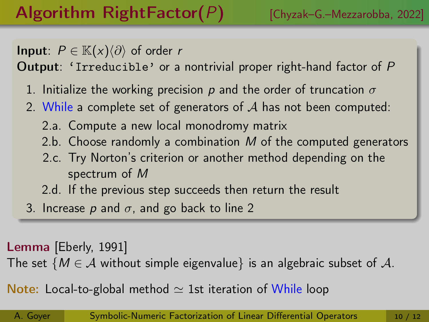**Input**:  $P \in \mathbb{K}(x)\langle \partial \rangle$  of order r

Output: 'Irreducible' or a nontrivial proper right-hand factor of P

- 1. Initialize the working precision p and the order of truncation  $\sigma$
- 2. While a complete set of generators of  $A$  has not been computed:
	- 2.a. Compute a new local monodromy matrix
	- 2.b. Choose randomly a combination  $M$  of the computed generators
	- 2.c. Try Norton's criterion or another method depending on the spectrum of M
	- 2.d. If the previous step succeeds then return the result
- 3. Increase p and  $\sigma$ , and go back to line 2

Lemma [Eberly, 1991]

The set  $\{M \in \mathcal{A}$  without simple eigenvalue} is an algebraic subset of A.

Note: Local-to-global method  $\simeq$  1st iteration of While loop

A. Goyer [Symbolic-Numeric Factorization of Linear Differential Operators](#page-0-0) 10 / 12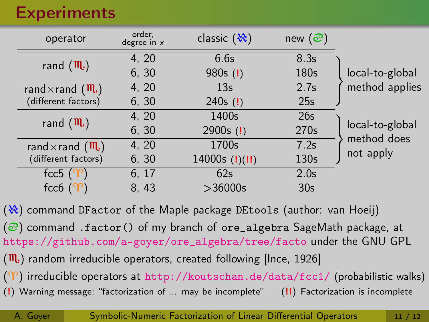# **Experiments**

| operator                                | order,<br>degree in $x$ | classic $(\aleph)$ | new $\circledcirc$ |                 |
|-----------------------------------------|-------------------------|--------------------|--------------------|-----------------|
| rand $(\mathbf{m})$                     | 4, 20                   | 6.6s               | 8.3s               |                 |
|                                         | 6, 30                   | $980s$ (!)         | 180s               | local-to-global |
| rand $\times$ rand $(\mathbf{m})$       | 4, 20                   | 13 <sub>s</sub>    | 2.7s               | method applies  |
| (different factors)                     | 6, 30                   | 240s $(!)$         | 25s                |                 |
| rand $(\mathbf{m})$                     | 4, 20                   | 1400s              | 26s                | local-to-global |
|                                         | 6, 30                   | $2900s$ (!)        | 270s               |                 |
| rand $\times$ rand $(\mathbf{m})$       | 4, 20                   | 1700s              | 7.2s               | method does     |
| (different factors)                     | 6, 30                   | 14000s $(!) (!!)$  | 130s               | not apply       |
| fcc5 $($ <sup><math>\gamma</math></sup> | 6, 17                   | 62s                | 2.0 <sub>s</sub>   |                 |
| $fcc6$ (                                | 8, 43                   | >36000s            | 30 <sub>s</sub>    |                 |

 $(\aleph)$  command DF actor of the Maple package DE tools (author: van Hoeij)  $\circledcirc$ ) command .factor() of my branch of ore\_algebra SageMath package, at [https://github.com/a-goyer/ore\\_algebra/tree/facto](https://github.com/a-goyer/ore_algebra/tree/facto) under the GNU GPL  $(\mathbf{m})$  random irreducible operators, created following [Ince, 1926]  $(\Upsilon)$  irreducible operators at <http://koutschan.de/data/fcc1/> (probabilistic walks) (!) Warning message: "factorization of ... may be incomplete" (!!) Factorization is incomplete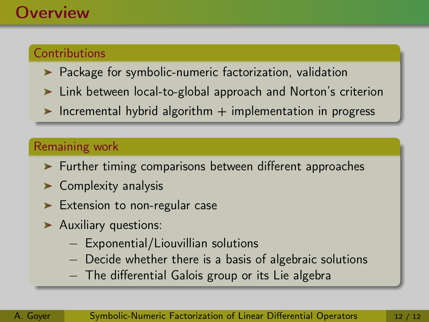# **Overview**

### **Contributions**

- $\blacktriangleright$  Package for symbolic-numeric factorization, validation
- ► Link between local-to-global approach and Norton's criterion
- Incremental hybrid algorithm  $+$  implementation in progress

#### Remaining work

- Further timing comparisons between different approaches
- $\blacktriangleright$  Complexity analysis
- Extension to non-regular case
- **Auxiliary questions:** 
	- − Exponential/Liouvillian solutions
	- − Decide whether there is a basis of algebraic solutions
	- − The differential Galois group or its Lie algebra